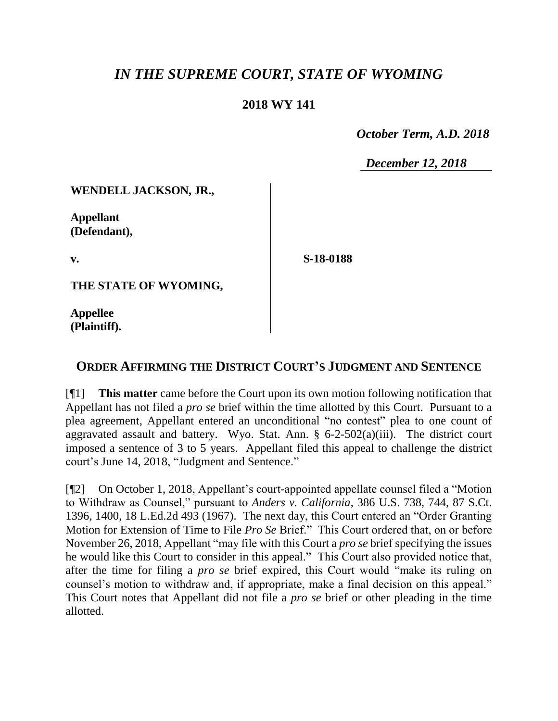## *IN THE SUPREME COURT, STATE OF WYOMING*

## **2018 WY 141**

 *October Term, A.D. 2018*

*December 12, 2018*

**WENDELL JACKSON, JR.,**

**Appellant (Defendant),**

**v.**

**S-18-0188**

**THE STATE OF WYOMING,**

**Appellee (Plaintiff).**

## **ORDER AFFIRMING THE DISTRICT COURT'S JUDGMENT AND SENTENCE**

[¶1] **This matter** came before the Court upon its own motion following notification that Appellant has not filed a *pro se* brief within the time allotted by this Court. Pursuant to a plea agreement, Appellant entered an unconditional "no contest" plea to one count of aggravated assault and battery. Wyo. Stat. Ann.  $\S$  6-2-502(a)(iii). The district court imposed a sentence of 3 to 5 years. Appellant filed this appeal to challenge the district court's June 14, 2018, "Judgment and Sentence."

[¶2] On October 1, 2018, Appellant's court-appointed appellate counsel filed a "Motion to Withdraw as Counsel," pursuant to *Anders v. California*, 386 U.S. 738, 744, 87 S.Ct. 1396, 1400, 18 L.Ed.2d 493 (1967). The next day, this Court entered an "Order Granting Motion for Extension of Time to File *Pro Se* Brief." This Court ordered that, on or before November 26, 2018, Appellant "may file with this Court a *pro se* brief specifying the issues he would like this Court to consider in this appeal." This Court also provided notice that, after the time for filing a *pro se* brief expired, this Court would "make its ruling on counsel's motion to withdraw and, if appropriate, make a final decision on this appeal." This Court notes that Appellant did not file a *pro se* brief or other pleading in the time allotted.